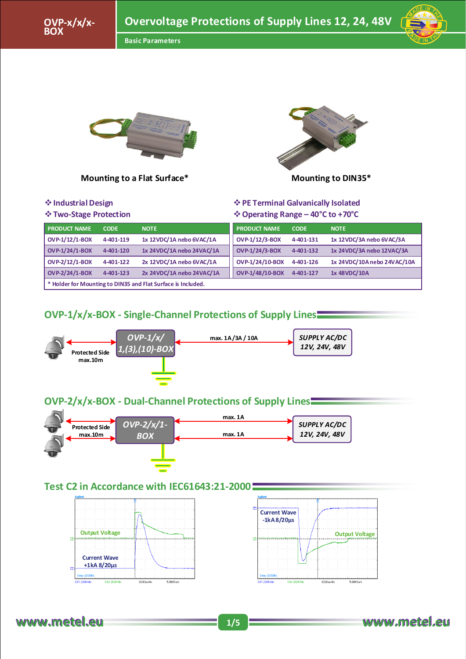





Mounting to a Flat Surface\* Mounting to DIN35\*

#### v**Industrial Design**

v**Two-Stage Protection**



v**PE Terminal Galvanically Isolated** v**Operating Range – 40°C to +70°C**

| <b>PRODUCT NAME</b>                                          | <b>CODE</b> | <b>NOTE</b>               | <b>PRODUCT NAME</b>    | <b>CODE</b> | <b>NOTE</b>                   |  |  |  |  |  |
|--------------------------------------------------------------|-------------|---------------------------|------------------------|-------------|-------------------------------|--|--|--|--|--|
| <b>OVP-1/12/1-BOX</b>                                        | 4-401-119   | 1x 12VDC/1A nebo 6VAC/1A  | OVP-1/12/3-BOX         | 4-401-131   | 1x 12VDC/3A nebo 6VAC/3A      |  |  |  |  |  |
| <b>OVP-1/24/1-BOX</b>                                        | 4-401-120   | 1x 24VDC/1A nebo 24VAC/1A | <b>OVP-1/24/3-BOX</b>  | 4-401-132   | 1x 24VDC/3A nebo 12VAC/3A     |  |  |  |  |  |
| <b>OVP-2/12/1-BOX</b>                                        | 4-401-122   | 2x 12VDC/1A nebo 6VAC/1A  | OVP-1/24/10-BOX        | 4-401-126   | 1x 24 VDC/10A nebo 24 VAC/10A |  |  |  |  |  |
| <b>OVP-2/24/1-BOX</b>                                        | 4-401-123   | 2x 24VDC/1A nebo 24VAC/1A | <b>OVP-1/48/10-BOX</b> | 4-401-127   | 1x 48 VDC/10A                 |  |  |  |  |  |
| * Holder for Mounting to DIN35 and Flat Surface is Included. |             |                           |                        |             |                               |  |  |  |  |  |

## **OVP-1/x/x-BOX - Single-Channel Protections of Supply Lines**



## **OVP-2/x/x-BOX - Dual-Channel Protections of Supply Lines**



### **Test C2 in Accordance with IEC61643:21-2000**



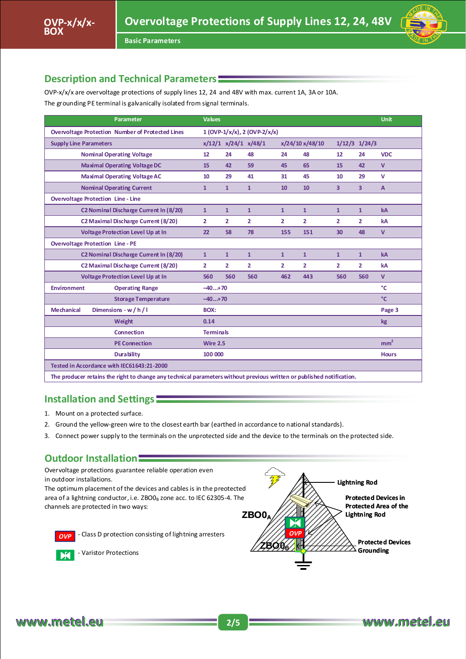

# **Description and Technical Parameters**

OVP-x/x/x are overvoltage protections of supply lines 12, 24 and 48V with max. current 1A, 3A or 10A. The grounding PE terminal is galvanically isolated from signal terminals.

| Parameter                                                                                                             |                | <b>Values</b>                  |                            |                |                 |                |                         |              |  |  |
|-----------------------------------------------------------------------------------------------------------------------|----------------|--------------------------------|----------------------------|----------------|-----------------|----------------|-------------------------|--------------|--|--|
| <b>Overvoltage Protection Number of Protected Lines</b>                                                               |                | $1 (OVP-1/x/x), 2 (OVP-2/x/x)$ |                            |                |                 |                |                         |              |  |  |
| <b>Supply Line Parameters</b>                                                                                         |                |                                | $x/12/1$ $x/24/1$ $x/48/1$ |                | x/24/10 x/48/10 |                | $1/12/3$ $1/24/3$       |              |  |  |
| <b>Nominal Operating Voltage</b>                                                                                      |                | 24                             | 48                         | 24             | 48              | 12             | 24                      | <b>VDC</b>   |  |  |
| <b>Maximal Operating Voltage DC</b>                                                                                   |                | 42                             | 59                         | 45             | 65              | 15             | 42                      | $\mathsf{V}$ |  |  |
| <b>Maximal Operating Voltage AC</b>                                                                                   | 10             | 29                             | 41                         | 31             | 45              | 10             | 29                      | v            |  |  |
| <b>Nominal Operating Current</b>                                                                                      | $\mathbf{1}$   | $\mathbf{1}$                   | $\mathbf{1}$               | 10             | 10              | 3              | $\overline{\mathbf{3}}$ | $\mathsf{A}$ |  |  |
| <b>Overvoltage Protection Line - Line</b>                                                                             |                |                                |                            |                |                 |                |                         |              |  |  |
| C2 Nominal Discharge Current In (8/20)                                                                                | $\mathbf{1}$   | $\mathbf{1}$                   | $\mathbf{1}$               | $\mathbf{1}$   | $\mathbf{1}$    | $\mathbf{1}$   | $\mathbf{1}$            | kA           |  |  |
| C2 Maximal Discharge Current (8/20)                                                                                   | $\overline{2}$ | $\overline{2}$                 | 2                          | $\mathbf{2}$   | $\mathbf{z}$    | $\overline{2}$ | $\overline{2}$          | kA           |  |  |
| <b>Voltage Protection Level Up at In</b>                                                                              | 22             | 58                             | 78                         | 155            | 151             | 30             | 48                      | $\mathsf{V}$ |  |  |
| <b>Overvoltage Protection Line - PE</b>                                                                               |                |                                |                            |                |                 |                |                         |              |  |  |
| C2 Nominal Discharge Current In (8/20)                                                                                | $\mathbf{1}$   | $\mathbf{1}$                   | $\mathbf{1}$               | $\mathbf{1}$   | $\mathbf{1}$    | $\mathbf{1}$   | $\mathbf{1}$            | kA           |  |  |
| C2 Maximal Discharge Current (8/20)                                                                                   |                | $\overline{2}$                 | $\overline{2}$             | $\overline{2}$ | $\overline{2}$  | 2              | $\overline{2}$          | kA           |  |  |
| <b>Voltage Protection Level Up at In</b>                                                                              |                | 560                            | 560                        | 462            | 443             | 560            | 560                     | $\mathbf v$  |  |  |
| <b>Operating Range</b><br><b>Environment</b>                                                                          |                | $-40+70$                       |                            |                |                 |                | °C                      |              |  |  |
| <b>Storage Temperature</b>                                                                                            |                | $-40+70$                       |                            |                |                 |                |                         |              |  |  |
| Dimensions - w / h / l<br><b>Mechanical</b>                                                                           | BOX:           |                                |                            |                |                 |                |                         | Page 3       |  |  |
| Weight                                                                                                                | 0.14           |                                |                            |                |                 |                |                         | kg           |  |  |
| <b>Connection</b>                                                                                                     |                | <b>Terminals</b>               |                            |                |                 |                |                         |              |  |  |
| <b>PE Connection</b>                                                                                                  |                | <b>Wire 2.5</b>                |                            |                |                 |                |                         |              |  |  |
| <b>Durability</b>                                                                                                     | 100 000        |                                |                            |                |                 |                |                         | <b>Hours</b> |  |  |
| Tested in Accordance with IEC61643:21-2000                                                                            |                |                                |                            |                |                 |                |                         |              |  |  |
| The producer retains the right to change any technical parameters without previous written or published notification. |                |                                |                            |                |                 |                |                         |              |  |  |

## **Installation and Settings**

- 1. Mount on a protected surface.
- 2. Ground the yellow-green wire to the closest earth bar (earthed in accordance to national standards).
- 3. Connect power supply to the terminals on the unprotected side and the device to the terminals on the protected side.

## **Outdoor Installation**

Overvoltage protections guarantee reliable operation even in outdoor installations. The optimum placement of the devices and cables is in the preotected area of a lightning conductor, i.e.  $ZBOO_B$  zone acc. to IEC 62305-4. The channels are protected in two ways:



- Class D protection consisting of lightning arresters



- Varistor Protections



**www.metel.eu www.metel.eu 2/5 www.metel.eu**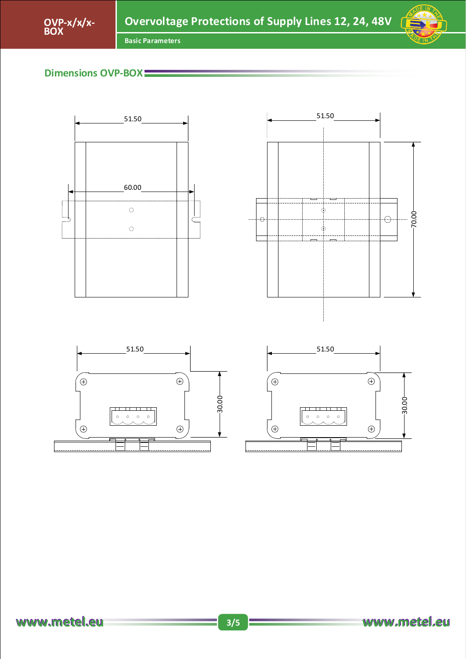



# **Dimensions OVP-BOX**







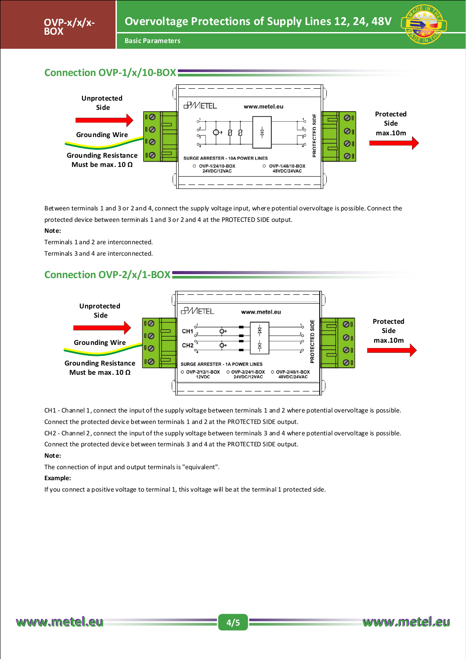

## **Connection OVP-1/x/10-BOX**



Between terminals 1 and 3 or 2 and 4, connect the supply voltage input, where potential overvoltage is possible. Connect the protected device between terminals 1 and 3 or 2 and 4 at the PROTECTED SIDE output.

#### **Note:**

Terminals 1 and 2 are interconnected.

Terminals 3 and 4 are interconnected.

# **Connection OVP-2/x/1-BOX**



CH1 - Channel 1, connect the input of the supply voltage between terminals 1 and 2 where potential overvoltage is possible. Connect the protected device between terminals 1 and 2 at the PROTECTED SIDE output.

CH2 - Channel 2, connect the input of the supply voltage between terminals 3 and 4 where potential overvoltage is possible.

Connect the protected device between terminals 3 and 4 at the PROTECTED SIDE output.

#### **Note:**

The connection of input and output terminals is "equivalent".

#### **Example:**

If you connect a positive voltage to terminal 1, this voltage will be at the terminal 1 protected side.